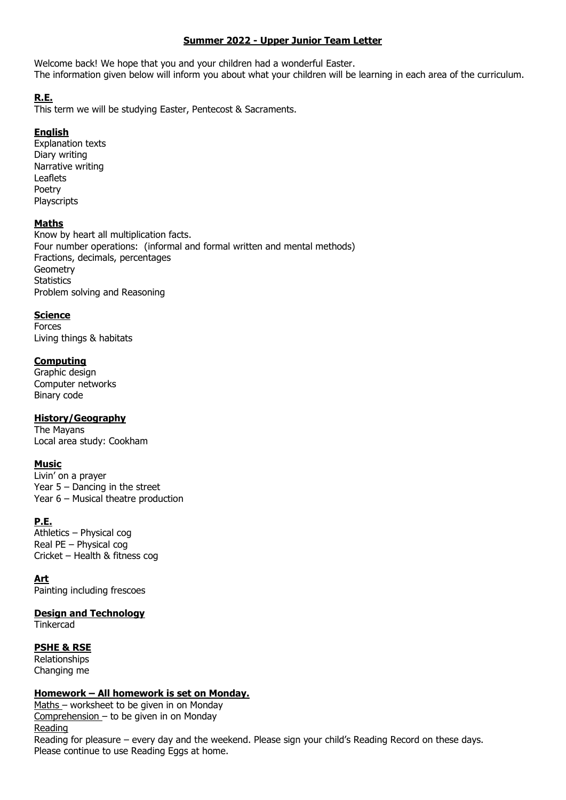## **Summer 2022 - Upper Junior Team Letter**

Welcome back! We hope that you and your children had a wonderful Easter. The information given below will inform you about what your children will be learning in each area of the curriculum.

# **R.E.**

This term we will be studying Easter, Pentecost & Sacraments.

## **English**

Explanation texts Diary writing Narrative writing Leaflets Poetry Playscripts

## **Maths**

Know by heart all multiplication facts. Four number operations: (informal and formal written and mental methods) Fractions, decimals, percentages Geometry **Statistics** Problem solving and Reasoning

## **Science**

Forces Living things & habitats

## **Computing**

Graphic design Computer networks Binary code

#### **History/Geography**

The Mayans Local area study: Cookham

## **Music**

Livin' on a prayer Year 5 – Dancing in the street Year 6 – Musical theatre production

## **P.E.**

Athletics – Physical cog Real PE – Physical cog Cricket – Health & fitness cog

#### **Art**

Painting including frescoes

#### **Design and Technology**

**Tinkercad** 

#### **PSHE & RSE**

Relationships Changing me

#### **Homework – All homework is set on Monday.**

Maths – worksheet to be given in on Monday Comprehension – to be given in on Monday Reading Reading for pleasure – every day and the weekend. Please sign your child's Reading Record on these days. Please continue to use Reading Eggs at home.